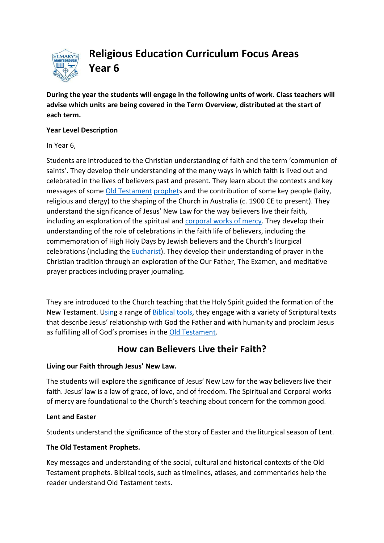

**Religious Education Curriculum Focus Areas Year 6**

**During the year the students will engage in the following units of work. Class teachers will advise which units are being covered in the Term Overview, distributed at the start of each term.**

#### **Year Level Description**

#### In Year 6,

Students are introduced to the Christian understanding of faith and the term 'communion of saints'. They develop their understanding of the many ways in which faith is lived out and celebrated in the lives of believers past and present. They learn about the contexts and key messages of som[e Old Testament](http://www.rec.bne.catholic.edu.au/Pages/Religious-Education.aspx) [prophets](http://www.rec.bne.catholic.edu.au/Pages/Religious-Education.aspx) and the contribution of some key people (laity, religious and clergy) to the shaping of the Church in Australia (c. 1900 CE to present). They understand the significance of Jesus' New Law for the way believers live their faith, including an exploration of the spiritual and [corporal works of mercy.](http://www.rec.bne.catholic.edu.au/Pages/Religious-Education.aspx) They develop their understanding of the role of celebrations in the faith life of believers, including the commemoration of High Holy Days by Jewish believers and the Church's liturgical celebrations (including the [Eucharist\)](http://www.rec.bne.catholic.edu.au/Pages/Religious-Education.aspx). They develop their understanding of prayer in the Christian tradition through an exploration of the Our Father, The Examen, and meditative prayer practices including prayer journaling.

They are introduced to the Church teaching that the Holy Spirit guided the formation of the New Testament. [Using](http://www.rec.bne.catholic.edu.au/Pages/Religious-Education.aspx) a range of [Biblical tools,](http://www.rec.bne.catholic.edu.au/Pages/Religious-Education.aspx) they engage with a variety of Scriptural texts that describe Jesus' relationship with God the Father and with humanity and proclaim Jesus as fulfilling all of God's promises in the [Old Testament.](http://www.rec.bne.catholic.edu.au/Pages/Religious-Education.aspx)

# **How can Believers Live their Faith?**

## **Living our Faith through Jesus' New Law.**

The students will explore the significance of Jesus' New Law for the way believers live their faith. Jesus' law is a law of grace, of love, and of freedom. The Spiritual and Corporal works of mercy are foundational to the Church's teaching about concern for the common good.

## **Lent and Easter**

Students understand the significance of the story of Easter and the liturgical season of Lent.

# **The Old Testament Prophets.**

Key messages and understanding of the social, cultural and historical contexts of the Old Testament prophets. Biblical tools, such as timelines, atlases, and commentaries help the reader understand Old Testament texts.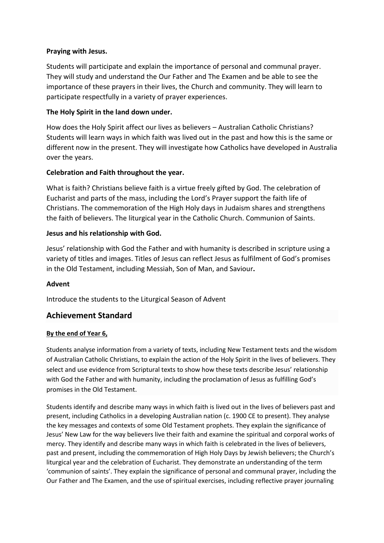#### **Praying with Jesus.**

Students will participate and explain the importance of personal and communal prayer. They will study and understand the Our Father and The Examen and be able to see the importance of these prayers in their lives, the Church and community. They will learn to participate respectfully in a variety of prayer experiences.

#### **The Holy Spirit in the land down under.**

How does the Holy Spirit affect our lives as believers – Australian Catholic Christians? Students will learn ways in which faith was lived out in the past and how this is the same or different now in the present. They will investigate how Catholics have developed in Australia over the years.

#### **Celebration and Faith throughout the year.**

What is faith? Christians believe faith is a virtue freely gifted by God. The celebration of Eucharist and parts of the mass, including the Lord's Prayer support the faith life of Christians. The commemoration of the High Holy days in Judaism shares and strengthens the faith of believers. The liturgical year in the Catholic Church. Communion of Saints.

#### **Jesus and his relationship with God.**

Jesus' relationship with God the Father and with humanity is described in scripture using a variety of titles and images. Titles of Jesus can reflect Jesus as fulfilment of God's promises in the Old Testament, including Messiah, Son of Man, and Saviour**.**

#### **Advent**

Introduce the students to the Liturgical Season of Advent

## **Achievement Standard**

#### **By the end of Year 6,**

Students analyse information from a variety of texts, including [New Testament](http://www.rec.bne.catholic.edu.au/Pages/Religious-Education.aspx) texts and the [wisdom](http://www.rec.bne.catholic.edu.au/Pages/Religious-Education.aspx) of Australian Catholic Christians, to explain the action of the Holy Spirit in the lives of believers. They select and use evidence from Scriptural texts to show how these texts describe Jesus' relationship with God the Father and with humanity, including the proclamation of Jesus as fulfilling God's promises in th[e Old Testament.](http://www.rec.bne.catholic.edu.au/Pages/Religious-Education.aspx)

Students identify and describe many ways in which faith is lived out in the lives of believers past and present, including Catholics in a developing Australian nation (c. 1900 CE to present). They analyse the key messages and contexts of some [Old Testament](http://www.rec.bne.catholic.edu.au/Pages/Religious-Education.aspx) prophets. They explain the significance of Jesus' New Law for the way believers live their faith and examine the spiritual and [corporal works of](http://www.rec.bne.catholic.edu.au/Pages/Religious-Education.aspx)  [mercy.](http://www.rec.bne.catholic.edu.au/Pages/Religious-Education.aspx) They identify and describe many ways in which faith is celebrated in the lives of believers, past and present, including the commemoration of High Holy Days by Jewish believers; the Church's liturgical year and the celebration o[f Eucharist.](http://www.rec.bne.catholic.edu.au/Pages/Religious-Education.aspx) They demonstrate an understanding of the term 'communion of saints'. They explain the significance of personal and communal prayer, including the Our Father and The Examen, and the use of spiritual exercises, including reflective prayer journaling